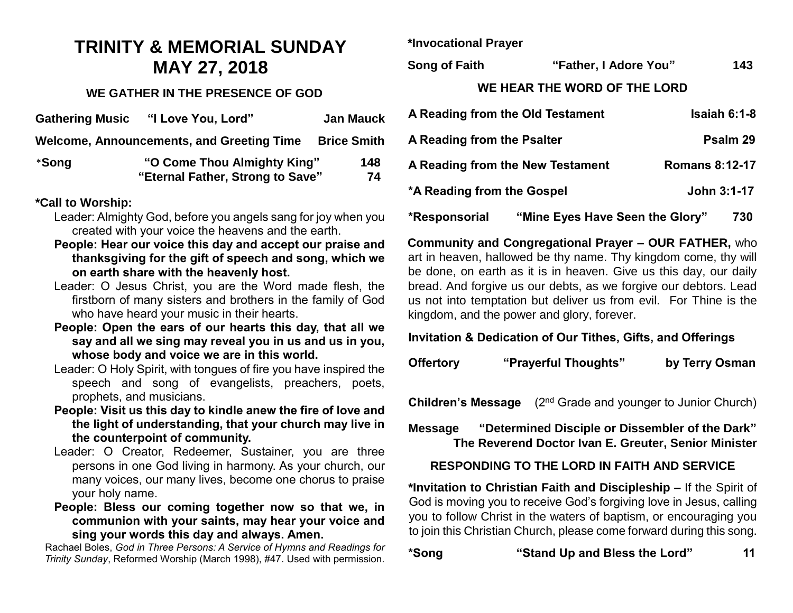# **TRINITY & MEMORIAL SUNDAY MAY 27, 2018**

#### **WE GATHER IN THE PRESENCE OF GOD**

| <b>Gathering Music</b> | "I Love You, Lord"                               | <b>Jan Mauck</b>   |
|------------------------|--------------------------------------------------|--------------------|
|                        | <b>Welcome, Announcements, and Greeting Time</b> | <b>Brice Smith</b> |
| *Song                  | "O Come Thou Almighty King"                      | 148                |
|                        | "Eternal Father, Strong to Save"                 | 74                 |

#### **\*Call to Worship:**

- Leader: Almighty God, before you angels sang for joy when you created with your voice the heavens and the earth.
- **People: Hear our voice this day and accept our praise and thanksgiving for the gift of speech and song, which we on earth share with the heavenly host.**
- Leader: O Jesus Christ, you are the Word made flesh, the firstborn of many sisters and brothers in the family of God who have heard your music in their hearts.
- **People: Open the ears of our hearts this day, that all we say and all we sing may reveal you in us and us in you, whose body and voice we are in this world.**
- Leader: O Holy Spirit, with tongues of fire you have inspired the speech and song of evangelists, preachers, poets, prophets, and musicians.
- **People: Visit us this day to kindle anew the fire of love and the light of understanding, that your church may live in the counterpoint of community.**
- Leader: O Creator, Redeemer, Sustainer, you are three persons in one God living in harmony. As your church, our many voices, our many lives, become one chorus to praise your holy name.
- **People: Bless our coming together now so that we, in communion with your saints, may hear your voice and sing your words this day and always. Amen.**

Rachael Boles, *God in Three Persons: A Service of Hymns and Readings for Trinity Sunday*, Reformed Worship (March 1998), #47. Used with permission.

**\*Invocational Prayer**

**Song of Faith "Father, I Adore You" 143**

#### **WE HEAR THE WORD OF THE LORD**

|                            | A Reading from the Old Testament | $Isaiah6:1-8$         |
|----------------------------|----------------------------------|-----------------------|
| A Reading from the Psalter |                                  | Psalm 29              |
|                            | A Reading from the New Testament | <b>Romans 8:12-17</b> |
| *A Reading from the Gospel |                                  | John 3:1-17           |
| *Responsorial              | "Mine Eyes Have Seen the Glory"  | 730                   |

**Community and Congregational Prayer – OUR FATHER,** who art in heaven, hallowed be thy name. Thy kingdom come, thy will be done, on earth as it is in heaven. Give us this day, our daily bread. And forgive us our debts, as we forgive our debtors. Lead us not into temptation but deliver us from evil. For Thine is the kingdom, and the power and glory, forever.

#### **Invitation & Dedication of Our Tithes, Gifts, and Offerings**

| <b>Offertory</b> | "Prayerful Thoughts" | by Terry Osman |
|------------------|----------------------|----------------|
|------------------|----------------------|----------------|

**Children's Message** (2<sup>nd</sup> Grade and younger to Junior Church)

**Message "Determined Disciple or Dissembler of the Dark" The Reverend Doctor Ivan E. Greuter, Senior Minister**

#### **RESPONDING TO THE LORD IN FAITH AND SERVICE**

**\*Invitation to Christian Faith and Discipleship –** If the Spirit of God is moving you to receive God's forgiving love in Jesus, calling you to follow Christ in the waters of baptism, or encouraging you to join this Christian Church, please come forward during this song.

| *Song | "Stand Up and Bless the Lord" |  |
|-------|-------------------------------|--|
|       |                               |  |